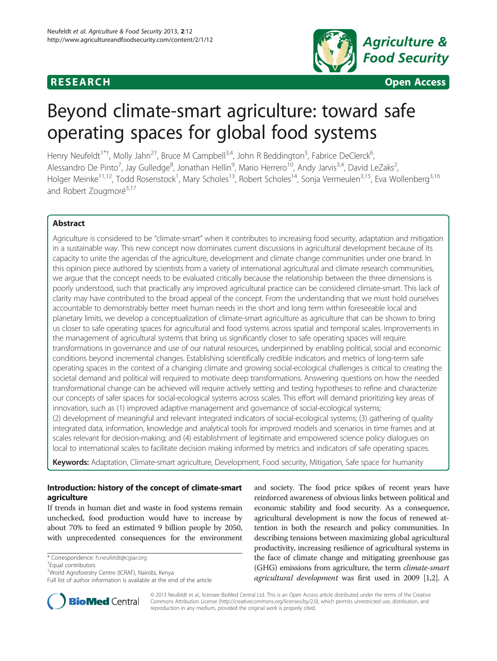## **RESEARCH RESEARCH CONSUMING ACCESS**



# Beyond climate-smart agriculture: toward safe operating spaces for global food systems

Henry Neufeldt<sup>1\*†</sup>, Molly Jahn<sup>2†</sup>, Bruce M Campbell<sup>3,4</sup>, John R Beddington<sup>5</sup>, Fabrice DeClerck<sup>6</sup> , Alessandro De Pinto<sup>7</sup>, Jay Gulledge<sup>8</sup>, Jonathan Hellin<sup>9</sup>, Mario Herrero<sup>10</sup>, Andy Jarvis<sup>3,4</sup>, David LeZaks<sup>2</sup> , Holger Meinke<sup>11,12</sup>, Todd Rosenstock<sup>1</sup>, Mary Scholes<sup>13</sup>, Robert Scholes<sup>14</sup>, Sonja Vermeulen<sup>3,15</sup>, Eva Wollenberg<sup>3,16</sup> and Robert Zougmoré<sup>3,17</sup>

## Abstract

Agriculture is considered to be "climate-smart" when it contributes to increasing food security, adaptation and mitigation in a sustainable way. This new concept now dominates current discussions in agricultural development because of its capacity to unite the agendas of the agriculture, development and climate change communities under one brand. In this opinion piece authored by scientists from a variety of international agricultural and climate research communities, we argue that the concept needs to be evaluated critically because the relationship between the three dimensions is poorly understood, such that practically any improved agricultural practice can be considered climate-smart. This lack of clarity may have contributed to the broad appeal of the concept. From the understanding that we must hold ourselves accountable to demonstrably better meet human needs in the short and long term within foreseeable local and planetary limits, we develop a conceptualization of climate-smart agriculture as agriculture that can be shown to bring us closer to safe operating spaces for agricultural and food systems across spatial and temporal scales. Improvements in the management of agricultural systems that bring us significantly closer to safe operating spaces will require transformations in governance and use of our natural resources, underpinned by enabling political, social and economic conditions beyond incremental changes. Establishing scientifically credible indicators and metrics of long-term safe operating spaces in the context of a changing climate and growing social-ecological challenges is critical to creating the societal demand and political will required to motivate deep transformations. Answering questions on how the needed transformational change can be achieved will require actively setting and testing hypotheses to refine and characterize our concepts of safer spaces for social-ecological systems across scales. This effort will demand prioritizing key areas of innovation, such as (1) improved adaptive management and governance of social-ecological systems; (2) development of meaningful and relevant integrated indicators of social-ecological systems; (3) gathering of quality integrated data, information, knowledge and analytical tools for improved models and scenarios in time frames and at scales relevant for decision-making; and (4) establishment of legitimate and empowered science policy dialogues on local to international scales to facilitate decision making informed by metrics and indicators of safe operating spaces.

Keywords: Adaptation, Climate-smart agriculture, Development, Food security, Mitigation, Safe space for humanity

## Introduction: history of the concept of climate-smart agriculture

If trends in human diet and waste in food systems remain unchecked, food production would have to increase by about 70% to feed an estimated 9 billion people by 2050, with unprecedented consequences for the environment

<sup>+</sup>Equal contributors

and society. The food price spikes of recent years have reinforced awareness of obvious links between political and economic stability and food security. As a consequence, agricultural development is now the focus of renewed attention in both the research and policy communities. In describing tensions between maximizing global agricultural productivity, increasing resilience of agricultural systems in the face of climate change and mitigating greenhouse gas (GHG) emissions from agriculture, the term climate-smart agricultural development was first used in 2009 [\[1,2\]](#page-4-0). A



© 2013 Neufeldt et al.; licensee BioMed Central Ltd. This is an Open Access article distributed under the terms of the Creative Commons Attribution License [\(http://creativecommons.org/licenses/by/2.0\)](http://creativecommons.org/licenses/by/2.0), which permits unrestricted use, distribution, and reproduction in any medium, provided the original work is properly cited.

<sup>\*</sup> Correspondence: [h.neufeldt@cgiar.org](mailto:h.neufeldt@cgiar.org) †

<sup>&</sup>lt;sup>1</sup>World Agroforestry Centre (ICRAF), Nairobi, Kenya

Full list of author information is available at the end of the article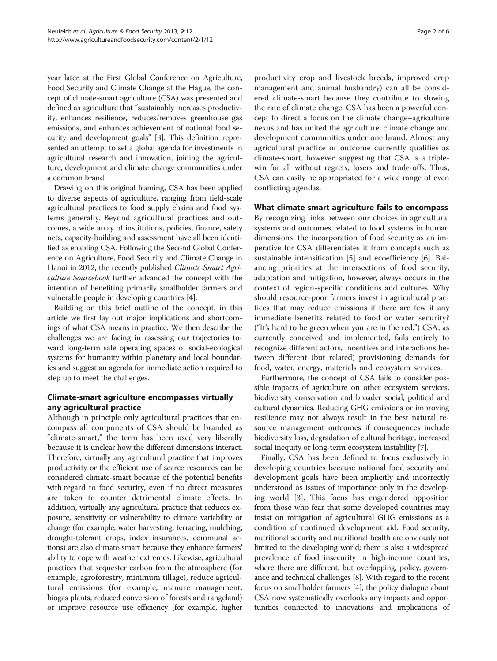year later, at the First Global Conference on Agriculture, Food Security and Climate Change at the Hague, the concept of climate-smart agriculture (CSA) was presented and defined as agriculture that "sustainably increases productivity, enhances resilience, reduces/removes greenhouse gas emissions, and enhances achievement of national food security and development goals" [\[3](#page-4-0)]. This definition represented an attempt to set a global agenda for investments in agricultural research and innovation, joining the agriculture, development and climate change communities under a common brand.

Drawing on this original framing, CSA has been applied to diverse aspects of agriculture, ranging from field-scale agricultural practices to food supply chains and food systems generally. Beyond agricultural practices and outcomes, a wide array of institutions, policies, finance, safety nets, capacity-building and assessment have all been identified as enabling CSA. Following the Second Global Conference on Agriculture, Food Security and Climate Change in Hanoi in 2012, the recently published Climate-Smart Agriculture Sourcebook further advanced the concept with the intention of benefiting primarily smallholder farmers and vulnerable people in developing countries [[4](#page-4-0)].

Building on this brief outline of the concept, in this article we first lay out major implications and shortcomings of what CSA means in practice. We then describe the challenges we are facing in assessing our trajectories toward long-term safe operating spaces of social-ecological systems for humanity within planetary and local boundaries and suggest an agenda for immediate action required to step up to meet the challenges.

## Climate-smart agriculture encompasses virtually any agricultural practice

Although in principle only agricultural practices that encompass all components of CSA should be branded as "climate-smart," the term has been used very liberally because it is unclear how the different dimensions interact. Therefore, virtually any agricultural practice that improves productivity or the efficient use of scarce resources can be considered climate-smart because of the potential benefits with regard to food security, even if no direct measures are taken to counter detrimental climate effects. In addition, virtually any agricultural practice that reduces exposure, sensitivity or vulnerability to climate variability or change (for example, water harvesting, terracing, mulching, drought-tolerant crops, index insurances, communal actions) are also climate-smart because they enhance farmers' ability to cope with weather extremes. Likewise, agricultural practices that sequester carbon from the atmosphere (for example, agroforestry, minimum tillage), reduce agricultural emissions (for example, manure management, biogas plants, reduced conversion of forests and rangeland) or improve resource use efficiency (for example, higher

productivity crop and livestock breeds, improved crop management and animal husbandry) can all be considered climate-smart because they contribute to slowing the rate of climate change. CSA has been a powerful concept to direct a focus on the climate change–agriculture nexus and has united the agriculture, climate change and development communities under one brand. Almost any agricultural practice or outcome currently qualifies as climate-smart, however, suggesting that CSA is a triplewin for all without regrets, losers and trade-offs. Thus, CSA can easily be appropriated for a wide range of even conflicting agendas.

## What climate-smart agriculture fails to encompass

By recognizing links between our choices in agricultural systems and outcomes related to food systems in human dimensions, the incorporation of food security as an imperative for CSA differentiates it from concepts such as sustainable intensification [\[5](#page-4-0)] and ecoefficiency [\[6\]](#page-4-0). Balancing priorities at the intersections of food security, adaptation and mitigation, however, always occurs in the context of region-specific conditions and cultures. Why should resource-poor farmers invest in agricultural practices that may reduce emissions if there are few if any immediate benefits related to food or water security? ("It's hard to be green when you are in the red.") CSA, as currently conceived and implemented, fails entirely to recognize different actors, incentives and interactions between different (but related) provisioning demands for food, water, energy, materials and ecosystem services.

Furthermore, the concept of CSA fails to consider possible impacts of agriculture on other ecosystem services, biodiversity conservation and broader social, political and cultural dynamics. Reducing GHG emissions or improving resilience may not always result in the best natural resource management outcomes if consequences include biodiversity loss, degradation of cultural heritage, increased social inequity or long-term ecosystem instability [[7](#page-4-0)].

Finally, CSA has been defined to focus exclusively in developing countries because national food security and development goals have been implicitly and incorrectly understood as issues of importance only in the developing world [[3\]](#page-4-0). This focus has engendered opposition from those who fear that some developed countries may insist on mitigation of agricultural GHG emissions as a condition of continued development aid. Food security, nutritional security and nutritional health are obviously not limited to the developing world; there is also a widespread prevalence of food insecurity in high-income countries, where there are different, but overlapping, policy, governance and technical challenges [[8\]](#page-4-0). With regard to the recent focus on smallholder farmers [\[4\]](#page-4-0), the policy dialogue about CSA now systematically overlooks any impacts and opportunities connected to innovations and implications of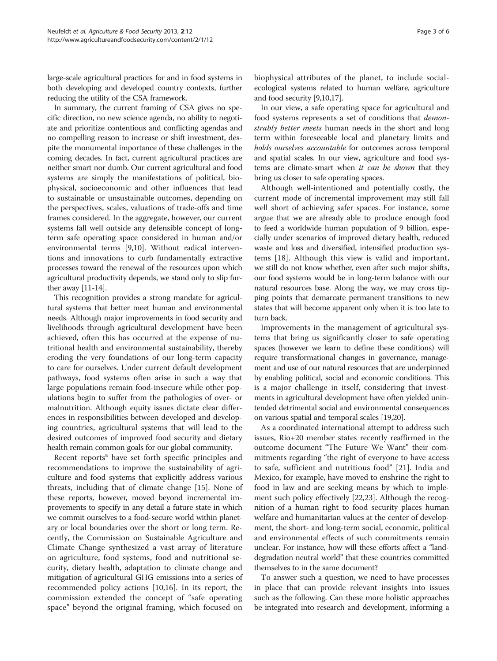large-scale agricultural practices for and in food systems in both developing and developed country contexts, further reducing the utility of the CSA framework.

In summary, the current framing of CSA gives no specific direction, no new science agenda, no ability to negotiate and prioritize contentious and conflicting agendas and no compelling reason to increase or shift investment, despite the monumental importance of these challenges in the coming decades. In fact, current agricultural practices are neither smart nor dumb. Our current agricultural and food systems are simply the manifestations of political, biophysical, socioeconomic and other influences that lead to sustainable or unsustainable outcomes, depending on the perspectives, scales, valuations of trade-offs and time frames considered. In the aggregate, however, our current systems fall well outside any defensible concept of longterm safe operating space considered in human and/or environmental terms [[9,10\]](#page-4-0). Without radical interventions and innovations to curb fundamentally extractive processes toward the renewal of the resources upon which agricultural productivity depends, we stand only to slip further away [\[11-14\]](#page-4-0).

This recognition provides a strong mandate for agricultural systems that better meet human and environmental needs. Although major improvements in food security and livelihoods through agricultural development have been achieved, often this has occurred at the expense of nutritional health and environmental sustainability, thereby eroding the very foundations of our long-term capacity to care for ourselves. Under current default development pathways, food systems often arise in such a way that large populations remain food-insecure while other populations begin to suffer from the pathologies of over- or malnutrition. Although equity issues dictate clear differences in responsibilities between developed and developing countries, agricultural systems that will lead to the desired outcomes of improved food security and dietary health remain common goals for our global community.

Recent reports<sup>a</sup> have set forth specific principles and recommendations to improve the sustainability of agriculture and food systems that explicitly address various threats, including that of climate change [\[15](#page-4-0)]. None of these reports, however, moved beyond incremental improvements to specify in any detail a future state in which we commit ourselves to a food-secure world within planetary or local boundaries over the short or long term. Recently, the Commission on Sustainable Agriculture and Climate Change synthesized a vast array of literature on agriculture, food systems, food and nutritional security, dietary health, adaptation to climate change and mitigation of agricultural GHG emissions into a series of recommended policy actions [[10,16\]](#page-4-0). In its report, the commission extended the concept of "safe operating space" beyond the original framing, which focused on biophysical attributes of the planet, to include socialecological systems related to human welfare, agriculture and food security [[9,10,17](#page-4-0)].

In our view, a safe operating space for agricultural and food systems represents a set of conditions that demonstrably better meets human needs in the short and long term within foreseeable local and planetary limits and holds ourselves accountable for outcomes across temporal and spatial scales. In our view, agriculture and food systems are climate-smart when it can be shown that they bring us closer to safe operating spaces.

Although well-intentioned and potentially costly, the current mode of incremental improvement may still fall well short of achieving safer spaces. For instance, some argue that we are already able to produce enough food to feed a worldwide human population of 9 billion, especially under scenarios of improved dietary health, reduced waste and loss and diversified, intensified production systems [\[18\]](#page-4-0). Although this view is valid and important, we still do not know whether, even after such major shifts, our food systems would be in long-term balance with our natural resources base. Along the way, we may cross tipping points that demarcate permanent transitions to new states that will become apparent only when it is too late to turn back.

Improvements in the management of agricultural systems that bring us significantly closer to safe operating spaces (however we learn to define these conditions) will require transformational changes in governance, management and use of our natural resources that are underpinned by enabling political, social and economic conditions. This is a major challenge in itself, considering that investments in agricultural development have often yielded unintended detrimental social and environmental consequences on various spatial and temporal scales [[19,20\]](#page-5-0).

As a coordinated international attempt to address such issues, Rio+20 member states recently reaffirmed in the outcome document "The Future We Want" their commitments regarding "the right of everyone to have access to safe, sufficient and nutritious food" [[21\]](#page-5-0). India and Mexico, for example, have moved to enshrine the right to food in law and are seeking means by which to implement such policy effectively [\[22,23\]](#page-5-0). Although the recognition of a human right to food security places human welfare and humanitarian values at the center of development, the short- and long-term social, economic, political and environmental effects of such commitments remain unclear. For instance, how will these efforts affect a "landdegradation neutral world" that these countries committed themselves to in the same document?

To answer such a question, we need to have processes in place that can provide relevant insights into issues such as the following. Can these more holistic approaches be integrated into research and development, informing a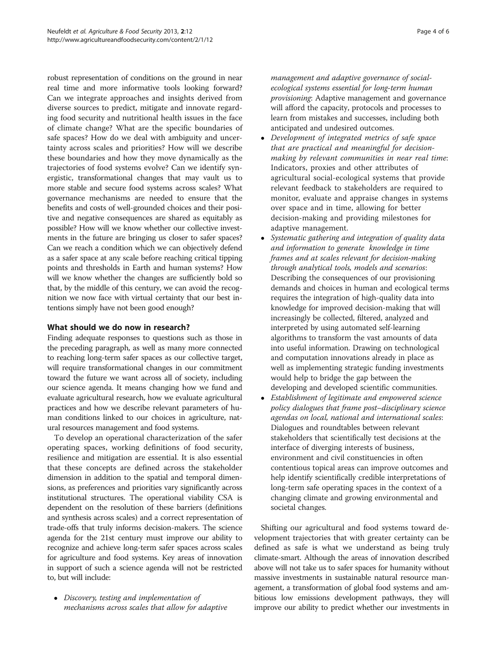robust representation of conditions on the ground in near real time and more informative tools looking forward? Can we integrate approaches and insights derived from diverse sources to predict, mitigate and innovate regarding food security and nutritional health issues in the face of climate change? What are the specific boundaries of safe spaces? How do we deal with ambiguity and uncertainty across scales and priorities? How will we describe these boundaries and how they move dynamically as the trajectories of food systems evolve? Can we identify synergistic, transformational changes that may vault us to more stable and secure food systems across scales? What governance mechanisms are needed to ensure that the benefits and costs of well-grounded choices and their positive and negative consequences are shared as equitably as possible? How will we know whether our collective investments in the future are bringing us closer to safer spaces? Can we reach a condition which we can objectively defend as a safer space at any scale before reaching critical tipping points and thresholds in Earth and human systems? How will we know whether the changes are sufficiently bold so that, by the middle of this century, we can avoid the recognition we now face with virtual certainty that our best intentions simply have not been good enough?

## What should we do now in research?

Finding adequate responses to questions such as those in the preceding paragraph, as well as many more connected to reaching long-term safer spaces as our collective target, will require transformational changes in our commitment toward the future we want across all of society, including our science agenda. It means changing how we fund and evaluate agricultural research, how we evaluate agricultural practices and how we describe relevant parameters of human conditions linked to our choices in agriculture, natural resources management and food systems.

To develop an operational characterization of the safer operating spaces, working definitions of food security, resilience and mitigation are essential. It is also essential that these concepts are defined across the stakeholder dimension in addition to the spatial and temporal dimensions, as preferences and priorities vary significantly across institutional structures. The operational viability CSA is dependent on the resolution of these barriers (definitions and synthesis across scales) and a correct representation of trade-offs that truly informs decision-makers. The science agenda for the 21st century must improve our ability to recognize and achieve long-term safer spaces across scales for agriculture and food systems. Key areas of innovation in support of such a science agenda will not be restricted to, but will include:

• Discovery, testing and implementation of mechanisms across scales that allow for adaptive

- Development of integrated metrics of safe space that are practical and meaningful for decisionmaking by relevant communities in near real time: Indicators, proxies and other attributes of agricultural social-ecological systems that provide relevant feedback to stakeholders are required to monitor, evaluate and appraise changes in systems over space and in time, allowing for better decision-making and providing milestones for adaptive management.
- Systematic gathering and integration of quality data and information to generate knowledge in time frames and at scales relevant for decision-making through analytical tools, models and scenarios: Describing the consequences of our provisioning demands and choices in human and ecological terms requires the integration of high-quality data into knowledge for improved decision-making that will increasingly be collected, filtered, analyzed and interpreted by using automated self-learning algorithms to transform the vast amounts of data into useful information. Drawing on technological and computation innovations already in place as well as implementing strategic funding investments would help to bridge the gap between the developing and developed scientific communities.
- Establishment of legitimate and empowered science policy dialogues that frame post–disciplinary science agendas on local, national and international scales: Dialogues and roundtables between relevant stakeholders that scientifically test decisions at the interface of diverging interests of business, environment and civil constituencies in often contentious topical areas can improve outcomes and help identify scientifically credible interpretations of long-term safe operating spaces in the context of a changing climate and growing environmental and societal changes.

Shifting our agricultural and food systems toward development trajectories that with greater certainty can be defined as safe is what we understand as being truly climate-smart. Although the areas of innovation described above will not take us to safer spaces for humanity without massive investments in sustainable natural resource management, a transformation of global food systems and ambitious low emissions development pathways, they will improve our ability to predict whether our investments in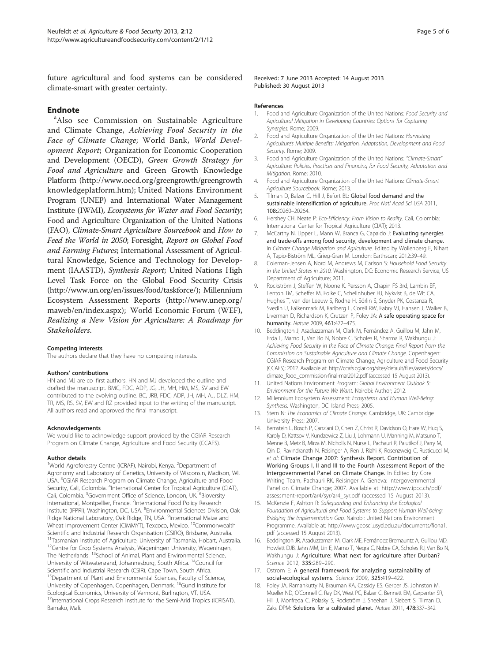<span id="page-4-0"></span>future agricultural and food systems can be considered climate-smart with greater certainty.

## **Endnote**

<sup>a</sup>Also see Commission on Sustainable Agriculture and Climate Change, Achieving Food Security in the Face of Climate Change; World Bank, World Development Report; Organization for Economic Cooperation and Development (OECD), Green Growth Strategy for Food and Agriculture and Green Growth Knowledge Platform [\(http://www.oecd.org/greengrowth/greengrowth](http://www.oecd.org/greengrowth/greengrowthknowledgeplatform.htm) [knowledgeplatform.htm](http://www.oecd.org/greengrowth/greengrowthknowledgeplatform.htm)); United Nations Environment Program (UNEP) and International Water Management Institute (IWMI), Ecosystems for Water and Food Security; Food and Agriculture Organization of the United Nations (FAO), Climate-Smart Agriculture Sourcebook and How to Feed the World in 2050; Foresight, Report on Global Food and Farming Futures; International Assessment of Agricultural Knowledge, Science and Technology for Development (IAASTD), Synthesis Report; United Nations High Level Task Force on the Global Food Security Crisis ([http://www.un.org/en/issues/food/taskforce/\)](http://www.un.org/en/issues/food/taskforce/); Millennium Ecosystem Assessment Reports ([http://www.unep.org/](http://www.unep.org/maweb/en/index.aspx) [maweb/en/index.aspx\)](http://www.unep.org/maweb/en/index.aspx); World Economic Forum (WEF), Realizing a New Vision for Agriculture: A Roadmap for Stakeholders.

#### Competing interests

The authors declare that they have no competing interests.

#### Authors' contributions

HN and MJ are co–first authors. HN and MJ developed the outline and drafted the manuscript. BMC, FDC, ADP, JG, JH, MH, HM, MS, SV and EW contributed to the evolving outline. BC, JRB, FDC, ADP, JH, MH, AJ, DLZ, HM, TR, MS, RS, SV, EW and RZ provided input to the writing of the manuscript. All authors read and approved the final manuscript.

#### Acknowledgements

We would like to acknowledge support provided by the CGIAR Research Program on Climate Change, Agriculture and Food Security (CCAFS).

#### Author details

<sup>1</sup>World Agroforestry Centre (ICRAF), Nairobi, Kenya. <sup>2</sup>Department of Agronomy and Laboratory of Genetics, University of Wisconsin, Madison, WI, USA. <sup>3</sup>CGIAR Research Program on Climate Change, Agriculture and Food Security, Cali, Colombia. <sup>4</sup>International Center for Tropical Agriculture (CIAT), Cali, Colombia. <sup>5</sup>Government Office of Science, London, UK. <sup>6</sup>Bioversity International, Montpellier, France. <sup>7</sup>International Food Policy Research Institute (IFPRI), Washington, DC, USA. <sup>8</sup>Environmental Sciences Division, Oak Ridge National Laboratory, Oak Ridge, TN, USA. <sup>9</sup>International Maize and Wheat Improvement Center (CIMMYT), Texcoco, Mexico. <sup>10</sup>Commonwealth Scientific and Industrial Research Organisation (CSIRO), Brisbane, Australia.  $11$ Tasmanian Institute of Agriculture, University of Tasmania, Hobart, Australia. 12Centre for Crop Systems Analysis, Wageningen University, Wageningen, The Netherlands. <sup>13</sup>School of Animal, Plant and Environmental Science, University of Witwatersrand, Johannesburg, South Africa. 14Council for Scientific and Industrial Research (CSIR), Cape Town, South Africa. 15Department of Plant and Environmental Sciences, Faculty of Science, University of Copenhagen, Copenhagen, Denmark. 16Gund Institute for Ecological Economics, University of Vermont, Burlington, VT, USA. <sup>1/</sup>International Crops Research Institute for the Semi-Arid Tropics (ICRISAT), Bamako, Mali.

Received: 7 June 2013 Accepted: 14 August 2013 Published: 30 August 2013

#### References

- 1. Food and Agriculture Organization of the United Nations: Food Security and Agricultural Mitigation in Developing Countries: Options for Capturing Synergies. Rome; 2009.
- Food and Agriculture Organization of the United Nations: Harvesting Agriculture's Multiple Benefits: Mitigation, Adaptation, Development and Food Security. Rome; 2009.
- 3. Food and Agriculture Organization of the United Nations: "Climate-Smart" Agriculture: Policies, Practices and Financing for Food Security, Adaptation and Mitigation. Rome; 2010.
- 4. Food and Agriculture Organization of the United Nations: Climate-Smart Agriculture Sourcebook. Rome; 2013.
- 5. Tilman D, Balzer C, Hill J, Befort BL: Global food demand and the sustainable intensification of agriculture. Proc Natl Acad Sci USA 2011, 108:20260–20264.
- 6. Hershey CH, Neate P: Eco-Efficiency: From Vision to Reality. Cali, Colombia: International Center for Tropical Agriculture (CIAT); 2013.
- 7. McCarthy N, Lipper L, Mann W, Branca G, Capaldo J: Evaluating synergies and trade-offs among food security, development and climate change. In Climate Change Mitigation and Agriculture. Edited by Wollenberg E, Nihart A, Tapio-Biström ML, Grieg-Gran M. London: Earthscan; 2012:39–49.
- 8. Coleman-Jensen A, Nord M, Andrews M, Carlson S: Household Food Security in the United States in 2010. Washington, DC: Economic Research Service, US Department of Agriculture; 2011.
- 9. Rockström J, Steffen W, Noone K, Persson A, Chapin FS 3rd, Lambin EF, Lenton TM, Scheffer M, Folke C, Schellnhuber HJ, Nykvist B, de Wit CA, Hughes T, van der Leeuw S, Rodhe H, Sörlin S, Snyder PK, Costanza R, Svedin U, Falkenmark M, Karlberg L, Corell RW, Fabry VJ, Hansen J, Walker B, Liverman D, Richardson K, Crutzen P, Foley JA: A safe operating space for humanity. Nature 2009, 461:472–475.
- 10. Beddington J, Asaduzzaman M, Clark M, Fernández A, Guillou M, Jahn M, Erda L, Mamo T, Van Bo N, Nobre C, Scholes R, Sharma R, Wakhungu J: Achieving Food Security in the Face of Climate Change: Final Report from the Commission on Sustainable Agriculture and Climate Change. Copenhagen: CGIAR Research Program on Climate Change, Agriculture and Food Security (CCAFS); 2012. Available at: [http://ccafs.cgiar.org/sites/default/files/assets/docs/](http://ccafs.cgiar.org/sites/default/files/assets/docs/climate_food_commission-final-mar2012.pdf) [climate\\_food\\_commission-final-mar2012.pdf](http://ccafs.cgiar.org/sites/default/files/assets/docs/climate_food_commission-final-mar2012.pdf) (accessed 15 August 2013).
- 11. United Nations Environment Program: Global Environment Outlook 5: Environment for the Future We Want. Nairobi: Author; 2012.
- 12. Millennium Ecosystem Assessment: Ecosystems and Human Well-Being: Synthesis. Washington, DC: Island Press; 2005.
- 13. Stern N: The Economics of Climate Change. Cambridge, UK: Cambridge University Press; 2007.
- 14. Bernstein L, Bosch P, Canziani O, Chen Z, Christ R, Davidson O, Hare W, Huq S, Karoly D, Kattsov V, Kundzewicz Z, Liu J, Lohmann U, Manning M, Matsuno T, Menne B, Metz B, Mirza M, Nicholls N, Nurse L, Pachauri R, Palutikof J, Parry M, Qin D, Ravindranath N, Reisinger A, Ren J, Riahi K, Rosenzweig C, Rusticucci M, et al: Climate Change 2007: Synthesis Report. Contribution of Working Groups I, II and III to the Fourth Assessment Report of the Intergovernmental Panel on Climate Change. In Edited by Core Writing Team, Pachauri RK, Reisinger A. Geneva: Intergovernmental Panel on Climate Change; 2007. Available at: [http://www.ipcc.ch/pdf/](http://www.ipcc.ch/pdf/assessment-report/ar4/syr/ar4_syr.pdf) [assessment-report/ar4/syr/ar4\\_syr.pdf](http://www.ipcc.ch/pdf/assessment-report/ar4/syr/ar4_syr.pdf) (accessed 15 August 2013).
- 15. McKenzie F, Ashton R: Safeguarding and Enhancing the Ecological Foundation of Agricultural and Food Systems to Support Human Well-being: Bridging the Implementation Gap. Nairobi: United Nations Environment Programme. Available at: [http://www.geosci.usyd.edu.au/documents/fiona1.](http://www.geosci.usyd.edu.au/documents/fiona1.pdf) [pdf](http://www.geosci.usyd.edu.au/documents/fiona1.pdf) (accessed 15 August 2013).
- 16. Beddington JR, Asaduzzaman M, Clark ME, Fernández Bremauntz A, Guillou MD, Howlett DJB, Jahn MM, Lin E, Mamo T, Negra C, Nobre CA, Scholes RJ, Van Bo N, Wakhungu J: Agriculture: What next for agriculture after Durban? Science 2012, 335:289-290.
- 17. Ostrom E: A general framework for analyzing sustainability of social-ecological systems. Science 2009, 325:419–422.
- 18. Foley JA, Ramankutty N, Brauman KA, Cassidy ES, Gerber JS, Johnston M, Mueller ND, O'Connell C, Ray DK, West PC, Balzer C, Bennett EM, Carpenter SR, Hill J, Monfreda C, Polasky S, Rockström J, Sheehan J, Siebert S, Tilman D, Zaks DPM: Solutions for a cultivated planet. Nature 2011, 478:337-342.